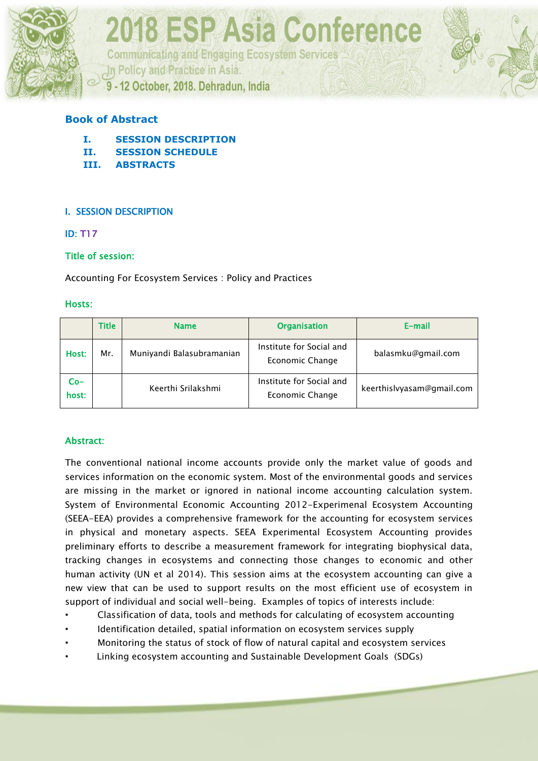

**Communicating and Engaging Ecosystem Services** 

In Policy and Practice in Asia.

9 - 12 October, 2018. Dehradun, India

#### **Book of Abstract**

- **I. SESSION DESCRIPTION**
- **II. SESSION SCHEDULE**
- **III. ABSTRACTS**

#### I. SESSION DESCRIPTION

#### ID: T17

#### Title of session:

Accounting For Ecosystem Services : Policy and Practices

#### Hosts:

|                | <b>Title</b> | <b>Name</b>               | <b>Organisation</b>                         | E-mail                    |
|----------------|--------------|---------------------------|---------------------------------------------|---------------------------|
| Host:          | Mr.          | Muniyandi Balasubramanian | Institute for Social and<br>Economic Change | balasmku@gmail.com        |
| $Co-$<br>host: |              | Keerthi Srilakshmi        | Institute for Social and<br>Economic Change | keerthislyyasam@gmail.com |

#### Abstract:

The conventional national income accounts provide only the market value of goods and services information on the economic system. Most of the environmental goods and services are missing in the market or ignored in national income accounting calculation system. System of Environmental Economic Accounting 2012-Experimenal Ecosystem Accounting (SEEA-EEA) provides a comprehensive framework for the accounting for ecosystem services in physical and monetary aspects. SEEA Experimental Ecosystem Accounting provides preliminary efforts to describe a measurement framework for integrating biophysical data, tracking changes in ecosystems and connecting those changes to economic and other human activity (UN et al 2014). This session aims at the ecosystem accounting can give a new view that can be used to support results on the most efficient use of ecosystem in support of individual and social well-being. Examples of topics of interests include:

- Classification of data, tools and methods for calculating of ecosystem accounting
- Identification detailed, spatial information on ecosystem services supply
- Monitoring the status of stock of flow of natural capital and ecosystem services
- Linking ecosystem accounting and Sustainable Development Goals (SDGs)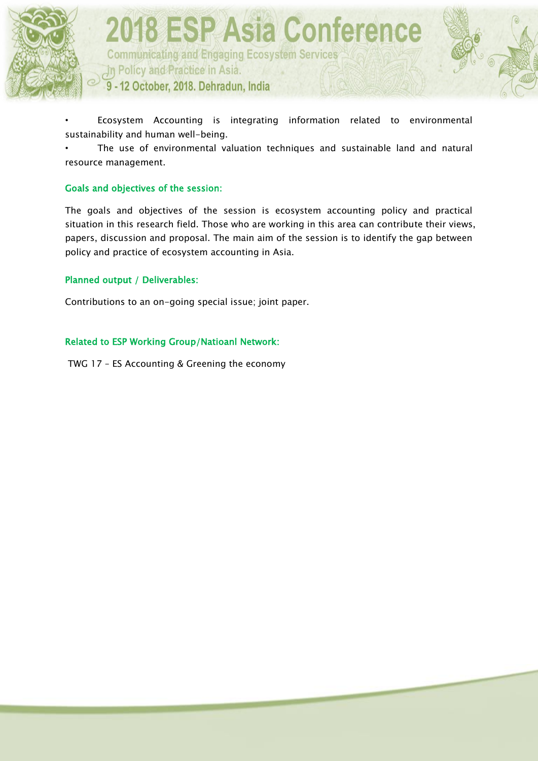

**Communicating and Engaging Ecosystem Services** In Policy and Practice in Asia. 9 - 12 October, 2018. Dehradun, India

• Ecosystem Accounting is integrating information related to environmental sustainability and human well-being.

The use of environmental valuation techniques and sustainable land and natural resource management.

#### Goals and objectives of the session:

The goals and objectives of the session is ecosystem accounting policy and practical situation in this research field. Those who are working in this area can contribute their views, papers, discussion and proposal. The main aim of the session is to identify the gap between policy and practice of ecosystem accounting in Asia.

#### Planned output / Deliverables:

Contributions to an on-going special issue; joint paper.

#### Related to ESP Working Group/Natioanl Network:

TWG 17 – ES Accounting & Greening the economy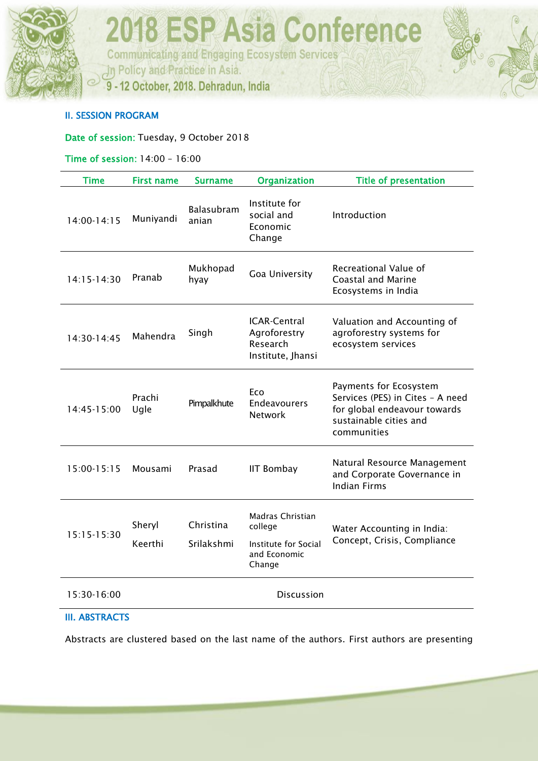

**Communicating and Engaging Ecosystem Services** In Policy and Practice in Asia.

9 - 12 October, 2018. Dehradun, India

#### II. SESSION PROGRAM

Date of session: Tuesday, 9 October 2018

#### Time of session: 14:00 – 16:00

| <b>Time</b>     | <b>First name</b> | <b>Surname</b>             | Organization                                                                  | <b>Title of presentation</b>                                                                                                        |
|-----------------|-------------------|----------------------------|-------------------------------------------------------------------------------|-------------------------------------------------------------------------------------------------------------------------------------|
| $14:00 - 14:15$ | Muniyandi         | <b>Balasubram</b><br>anian | Institute for<br>social and<br>Economic<br>Change                             | Introduction                                                                                                                        |
| 14:15-14:30     | Pranab            | Mukhopad<br>hyay           | Goa University                                                                | Recreational Value of<br><b>Coastal and Marine</b><br>Ecosystems in India                                                           |
| 14:30-14:45     | Mahendra          | Singh                      | <b>ICAR-Central</b><br>Agroforestry<br>Research<br>Institute, Jhansi          | Valuation and Accounting of<br>agroforestry systems for<br>ecosystem services                                                       |
| 14:45-15:00     | Prachi<br>Ugle    | Pimpalkhute                | Eco<br>Endeavourers<br><b>Network</b>                                         | Payments for Ecosystem<br>Services (PES) in Cites - A need<br>for global endeavour towards<br>sustainable cities and<br>communities |
| 15:00-15:15     | Mousami           | Prasad                     | <b>IIT Bombay</b>                                                             | Natural Resource Management<br>and Corporate Governance in<br><b>Indian Firms</b>                                                   |
| 15:15-15:30     | Sheryl<br>Keerthi | Christina<br>Srilakshmi    | Madras Christian<br>college<br>Institute for Social<br>and Economic<br>Change | Water Accounting in India:<br>Concept, Crisis, Compliance                                                                           |
| 15:30-16:00     |                   |                            | <b>Discussion</b>                                                             |                                                                                                                                     |

#### III. ABSTRACTS

Abstracts are clustered based on the last name of the authors. First authors are presenting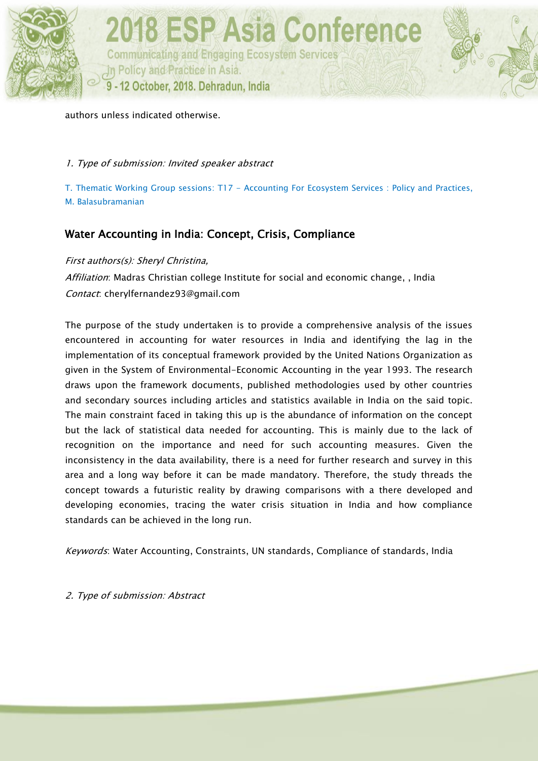

authors unless indicated otherwise.

1. Type of submission: Invited speaker abstract

T. Thematic Working Group sessions: T17 - Accounting For Ecosystem Services : Policy and Practices, M. Balasubramanian

#### Water Accounting in India: Concept, Crisis, Compliance

First authors(s): Sheryl Christina,

Affiliation: Madras Christian college Institute for social and economic change, , India Contact: cherylfernandez93@gmail.com

The purpose of the study undertaken is to provide a comprehensive analysis of the issues encountered in accounting for water resources in India and identifying the lag in the implementation of its conceptual framework provided by the United Nations Organization as given in the System of Environmental-Economic Accounting in the year 1993. The research draws upon the framework documents, published methodologies used by other countries and secondary sources including articles and statistics available in India on the said topic. The main constraint faced in taking this up is the abundance of information on the concept but the lack of statistical data needed for accounting. This is mainly due to the lack of recognition on the importance and need for such accounting measures. Given the inconsistency in the data availability, there is a need for further research and survey in this area and a long way before it can be made mandatory. Therefore, the study threads the concept towards a futuristic reality by drawing comparisons with a there developed and developing economies, tracing the water crisis situation in India and how compliance standards can be achieved in the long run.

Keywords: Water Accounting, Constraints, UN standards, Compliance of standards, India

2. Type of submission: Abstract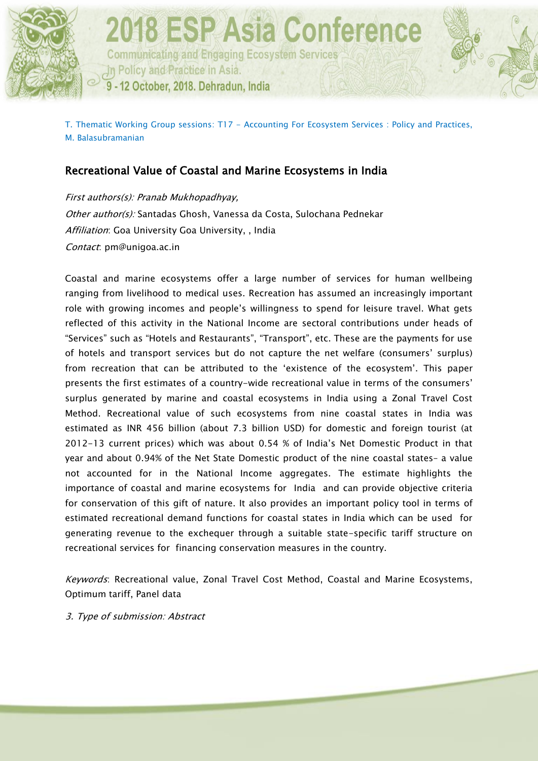

T. Thematic Working Group sessions: T17 - Accounting For Ecosystem Services : Policy and Practices, M. Balasubramanian

#### Recreational Value of Coastal and Marine Ecosystems in India

First authors(s): Pranab Mukhopadhyay, Other author(s): Santadas Ghosh, Vanessa da Costa, Sulochana Pednekar Affiliation: Goa University Goa University, , India Contact: pm@unigoa.ac.in

Coastal and marine ecosystems offer a large number of services for human wellbeing ranging from livelihood to medical uses. Recreation has assumed an increasingly important role with growing incomes and people's willingness to spend for leisure travel. What gets reflected of this activity in the National Income are sectoral contributions under heads of "Services" such as "Hotels and Restaurants", "Transport", etc. These are the payments for use of hotels and transport services but do not capture the net welfare (consumers' surplus) from recreation that can be attributed to the 'existence of the ecosystem'. This paper presents the first estimates of a country-wide recreational value in terms of the consumers' surplus generated by marine and coastal ecosystems in India using a Zonal Travel Cost Method. Recreational value of such ecosystems from nine coastal states in India was estimated as INR 456 billion (about 7.3 billion USD) for domestic and foreign tourist (at 2012-13 current prices) which was about 0.54 % of India's Net Domestic Product in that year and about 0.94% of the Net State Domestic product of the nine coastal states– a value not accounted for in the National Income aggregates. The estimate highlights the importance of coastal and marine ecosystems for India and can provide objective criteria for conservation of this gift of nature. It also provides an important policy tool in terms of estimated recreational demand functions for coastal states in India which can be used for generating revenue to the exchequer through a suitable state-specific tariff structure on recreational services for financing conservation measures in the country.

Keywords: Recreational value, Zonal Travel Cost Method, Coastal and Marine Ecosystems, Optimum tariff, Panel data

3. Type of submission: Abstract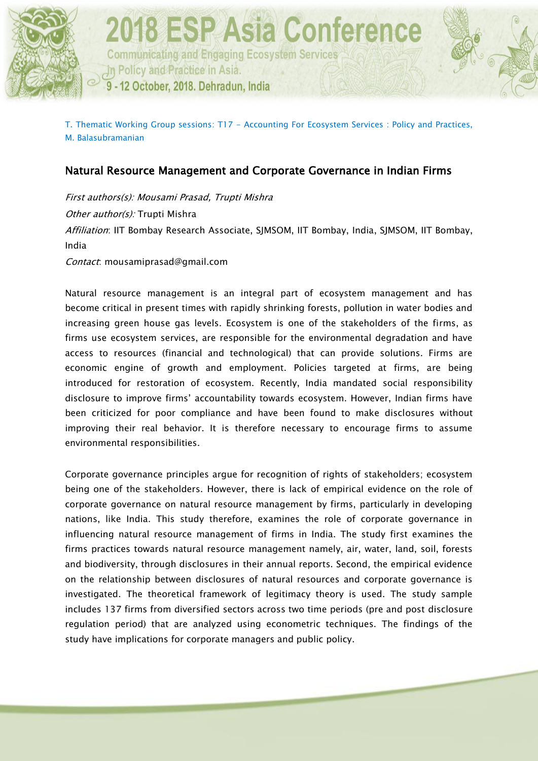

T. Thematic Working Group sessions: T17 - Accounting For Ecosystem Services : Policy and Practices, M. Balasubramanian

#### Natural Resource Management and Corporate Governance in Indian Firms

First authors(s): Mousami Prasad, Trupti Mishra Other author(s): Trupti Mishra Affiliation: IIT Bombay Research Associate, SJMSOM, IIT Bombay, India, SJMSOM, IIT Bombay, India

Contact: mousamiprasad@gmail.com

Natural resource management is an integral part of ecosystem management and has become critical in present times with rapidly shrinking forests, pollution in water bodies and increasing green house gas levels. Ecosystem is one of the stakeholders of the firms, as firms use ecosystem services, are responsible for the environmental degradation and have access to resources (financial and technological) that can provide solutions. Firms are economic engine of growth and employment. Policies targeted at firms, are being introduced for restoration of ecosystem. Recently, India mandated social responsibility disclosure to improve firms' accountability towards ecosystem. However, Indian firms have been criticized for poor compliance and have been found to make disclosures without improving their real behavior. It is therefore necessary to encourage firms to assume environmental responsibilities.

Corporate governance principles argue for recognition of rights of stakeholders; ecosystem being one of the stakeholders. However, there is lack of empirical evidence on the role of corporate governance on natural resource management by firms, particularly in developing nations, like India. This study therefore, examines the role of corporate governance in influencing natural resource management of firms in India. The study first examines the firms practices towards natural resource management namely, air, water, land, soil, forests and biodiversity, through disclosures in their annual reports. Second, the empirical evidence on the relationship between disclosures of natural resources and corporate governance is investigated. The theoretical framework of legitimacy theory is used. The study sample includes 137 firms from diversified sectors across two time periods (pre and post disclosure regulation period) that are analyzed using econometric techniques. The findings of the study have implications for corporate managers and public policy.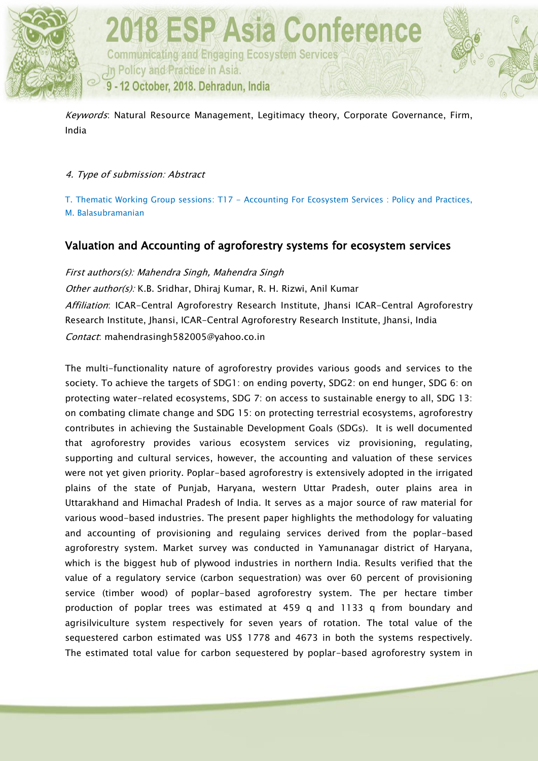

**2018 ESP Asia Conference Communicating and Engaging Ecosystem Services** In Policy and Practice in Asia. 9 - 12 October, 2018. Dehradun, India

Keywords: Natural Resource Management, Legitimacy theory, Corporate Governance, Firm, India

#### 4. Type of submission: Abstract

T. Thematic Working Group sessions: T17 - Accounting For Ecosystem Services : Policy and Practices, M. Balasubramanian

#### Valuation and Accounting of agroforestry systems for ecosystem services

First authors(s): Mahendra Singh, Mahendra Singh

Other author(s): K.B. Sridhar, Dhiraj Kumar, R. H. Rizwi, Anil Kumar Affiliation: ICAR-Central Agroforestry Research Institute, Jhansi ICAR-Central Agroforestry Research Institute, Jhansi, ICAR-Central Agroforestry Research Institute, Jhansi, India Contact: mahendrasingh582005@yahoo.co.in

The multi-functionality nature of agroforestry provides various goods and services to the society. To achieve the targets of SDG1: on ending poverty, SDG2: on end hunger, SDG 6: on protecting water-related ecosystems, SDG 7: on access to sustainable energy to all, SDG 13: on combating climate change and SDG 15: on protecting terrestrial ecosystems, agroforestry contributes in achieving the Sustainable Development Goals (SDGs). It is well documented that agroforestry provides various ecosystem services viz provisioning, regulating, supporting and cultural services, however, the accounting and valuation of these services were not yet given priority. Poplar-based agroforestry is extensively adopted in the irrigated plains of the state of Punjab, Haryana, western Uttar Pradesh, outer plains area in Uttarakhand and Himachal Pradesh of India. It serves as a major source of raw material for various wood-based industries. The present paper highlights the methodology for valuating and accounting of provisioning and regulaing services derived from the poplar-based agroforestry system. Market survey was conducted in Yamunanagar district of Haryana, which is the biggest hub of plywood industries in northern India. Results verified that the value of a regulatory service (carbon sequestration) was over 60 percent of provisioning service (timber wood) of poplar-based agroforestry system. The per hectare timber production of poplar trees was estimated at 459 q and 1133 q from boundary and agrisilviculture system respectively for seven years of rotation. The total value of the sequestered carbon estimated was US\$ 1778 and 4673 in both the systems respectively. The estimated total value for carbon sequestered by poplar-based agroforestry system in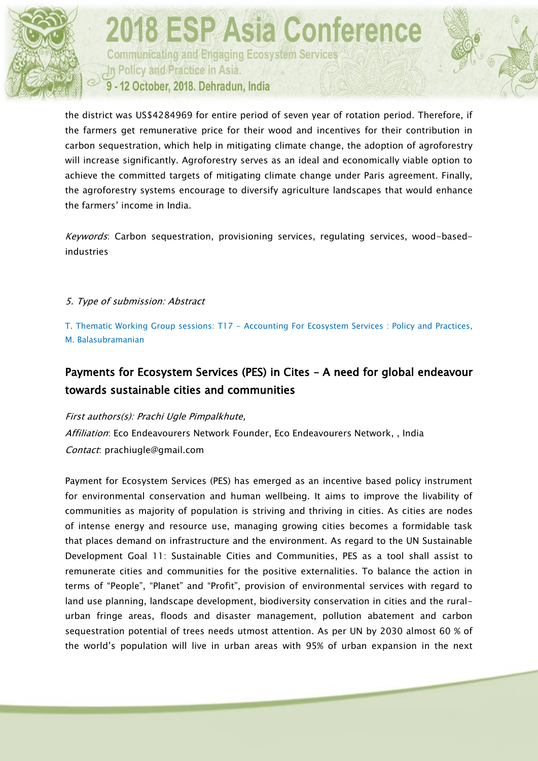

**Communicating and Engaging Ecosystem Services** In Policy and Practice in Asia. 9 - 12 October, 2018. Dehradun, India

the district was US\$4284969 for entire period of seven year of rotation period. Therefore, if the farmers get remunerative price for their wood and incentives for their contribution in carbon sequestration, which help in mitigating climate change, the adoption of agroforestry will increase significantly. Agroforestry serves as an ideal and economically viable option to achieve the committed targets of mitigating climate change under Paris agreement. Finally, the agroforestry systems encourage to diversify agriculture landscapes that would enhance the farmers' income in India.

Keywords: Carbon sequestration, provisioning services, regulating services, wood-basedindustries

#### 5. Type of submission: Abstract

T. Thematic Working Group sessions: T17 - Accounting For Ecosystem Services : Policy and Practices, M. Balasubramanian

#### Payments for Ecosystem Services (PES) in Cites – A need for global endeavour towards sustainable cities and communities

#### First authors(s): Prachi Ugle Pimpalkhute,

Affiliation: Eco Endeavourers Network Founder, Eco Endeavourers Network, , India Contact: prachiugle@gmail.com

Payment for Ecosystem Services (PES) has emerged as an incentive based policy instrument for environmental conservation and human wellbeing. It aims to improve the livability of communities as majority of population is striving and thriving in cities. As cities are nodes of intense energy and resource use, managing growing cities becomes a formidable task that places demand on infrastructure and the environment. As regard to the UN Sustainable Development Goal 11: Sustainable Cities and Communities, PES as a tool shall assist to remunerate cities and communities for the positive externalities. To balance the action in terms of "People", "Planet" and "Profit", provision of environmental services with regard to land use planning, landscape development, biodiversity conservation in cities and the ruralurban fringe areas, floods and disaster management, pollution abatement and carbon sequestration potential of trees needs utmost attention. As per UN by 2030 almost 60 % of the world's population will live in urban areas with 95% of urban expansion in the next